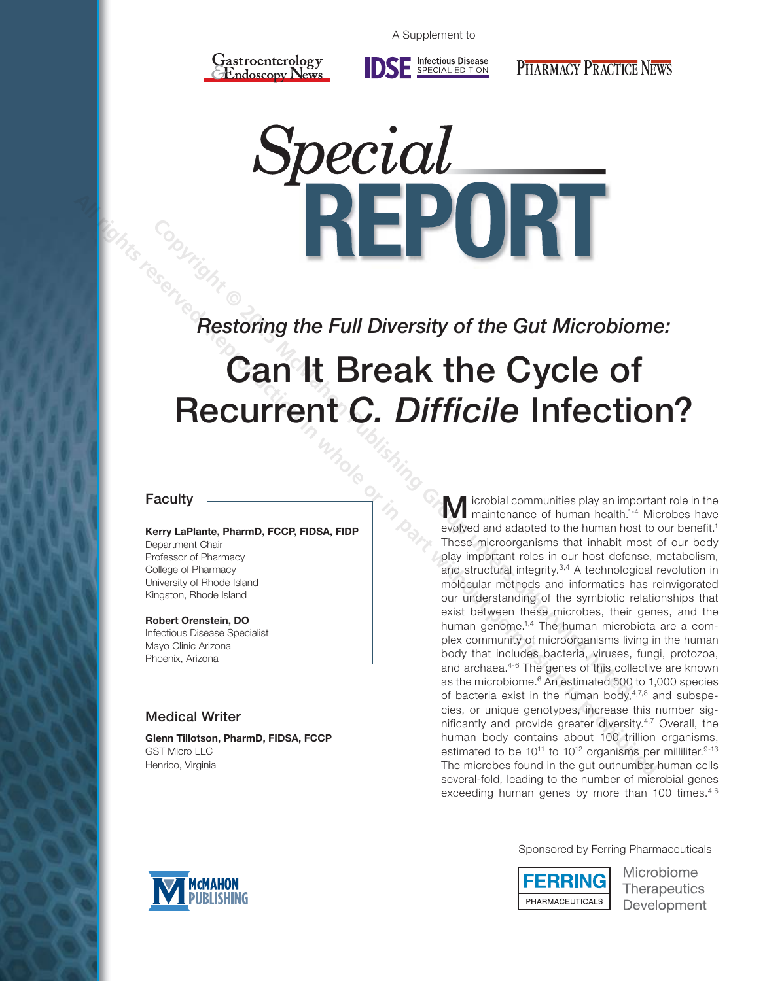

Infectious Disease<br>SPECIAL EDITION

**PHARMACY PRACTICE NEWS** 

*Restoring the Full Diversity of the Gut Microbiome:* 

# Can It Break the Cycle of **Recurrent** *C. Difficile* Infection?

# Faculty

# **Kerry LaPlante, PharmD, FCCP, FIDSA, FIDP**

Department Chair Professor of Pharmacy College of Pharmacy University of Rhode Island Kingston, Rhode Island

#### **Robert Orenstein, DO**

Infectious Disease Specialist Mayo Clinic Arizona Phoenix, Arizona

# Medical Writer

**Glenn Tillotson, PharmD, FIDSA, FCCP** GST Micro LLC Henrico, Virginia

**M** icrobial communities play an important role in the maintenance of human health.<sup>1-4</sup> Microbes have evolved and adapted to the human host to our benefit.<sup>1</sup> These microorganisms that inhabit most of our body play important roles in our host defense, metabolism, and structural integrity.<sup>3,4</sup> A technological revolution in molecular methods and informatics has reinvigorated our understanding of the symbiotic relationships that exist between these microbes, their genes, and the human genome.<sup>1,4</sup> The human microbiota are a complex community of microorganisms living in the human body that includes bacteria, viruses, fungi, protozoa, and archaea.4-6 The genes of this collective are known as the microbiome.<sup>6</sup> An estimated 500 to 1,000 species of bacteria exist in the human body, $4,7,8$  and subspecies, or unique genotypes, increase this number significantly and provide greater diversity.4,7 Overall, the human body contains about 100 trillion organisms, estimated to be  $10^{11}$  to  $10^{12}$  organisms per milliliter.<sup>9-13</sup> The microbes found in the gut outnumber human cells several-fold, leading to the number of microbial genes exceeding human genes by more than 100 times.<sup>4,6</sup> **Restoring the Full Diversity of the Gut Microbio**<br> **Can It Break the Cycle of Microbio**<br> **Can It Break the Cycle of Profecti**<br> **Recurrent C. Difficile Infecti**<br> **M** localist communities play an important chair measurement **All rights reserved. The EVI Diversity of the Gut Microbiome<br>
Can It Break the Cycle of<br>
Recurrent C. Difficile Infection<br>
Name Lablant Pharm P, FCCP, FIDSA, FDP<br>
Professor d. The mann part of the state of the computer or** 



Sponsored by Ferring Pharmaceuticals



Microbiome **Therapeutics** Development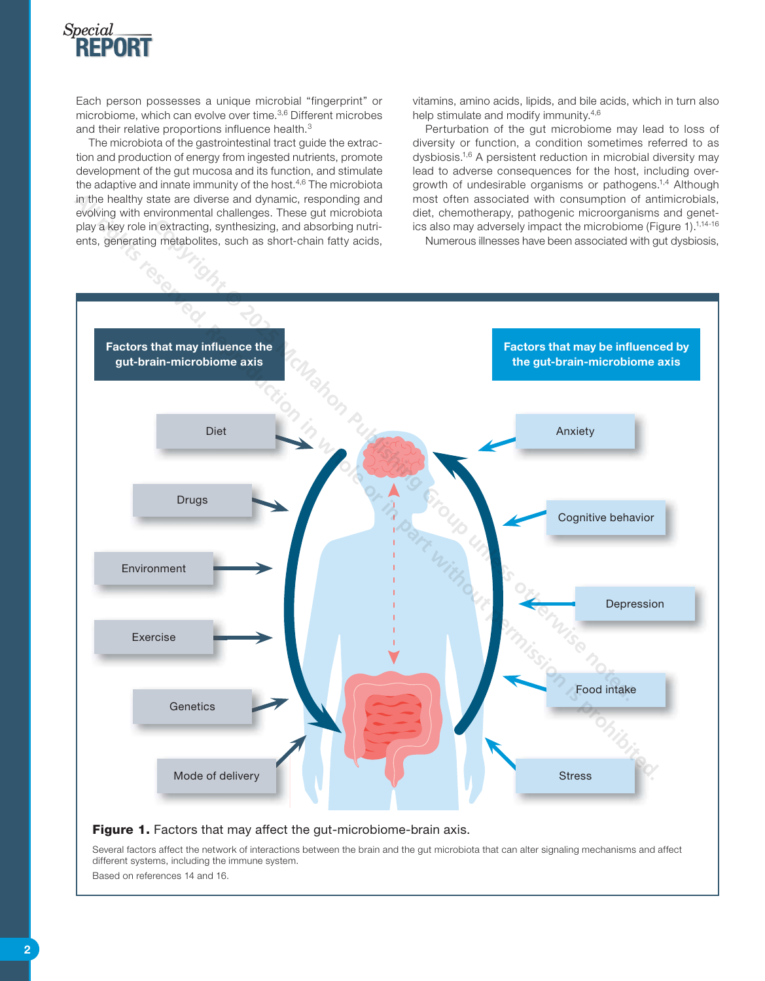

Each person possesses a unique microbial "fingerprint" or microbiome, which can evolve over time.3,6 Different microbes and their relative proportions influence health.<sup>3</sup>

The microbiota of the gastrointestinal tract guide the extraction and production of energy from ingested nutrients, promote development of the gut mucosa and its function, and stimulate the adaptive and innate immunity of the host.<sup>4,6</sup> The microbiota in the healthy state are diverse and dynamic, responding and evolving with environmental challenges. These gut microbiota play a key role in extracting, synthesizing, and absorbing nutrients, generating metabolites, such as short-chain fatty acids,

vitamins, amino acids, lipids, and bile acids, which in turn also help stimulate and modify immunity.<sup>4,6</sup>

Perturbation of the gut microbiome may lead to loss of diversity or function, a condition sometimes referred to as dysbiosis.1,6 A persistent reduction in microbial diversity may lead to adverse consequences for the host, including overgrowth of undesirable organisms or pathogens.<sup>1,4</sup> Although most often associated with consumption of antimicrobials, diet, chemotherapy, pathogenic microorganisms and genetics also may adversely impact the microbiome (Figure 1).<sup>1,14-16</sup>

Numerous illnesses have been associated with gut dysbiosis,



#### Figure 1. Factors that may affect the gut-microbiome-brain axis.

Several factors affect the network of interactions between the brain and the gut microbiota that can alter signaling mechanisms and affect different systems, including the immune system.

Based on references 14 and 16.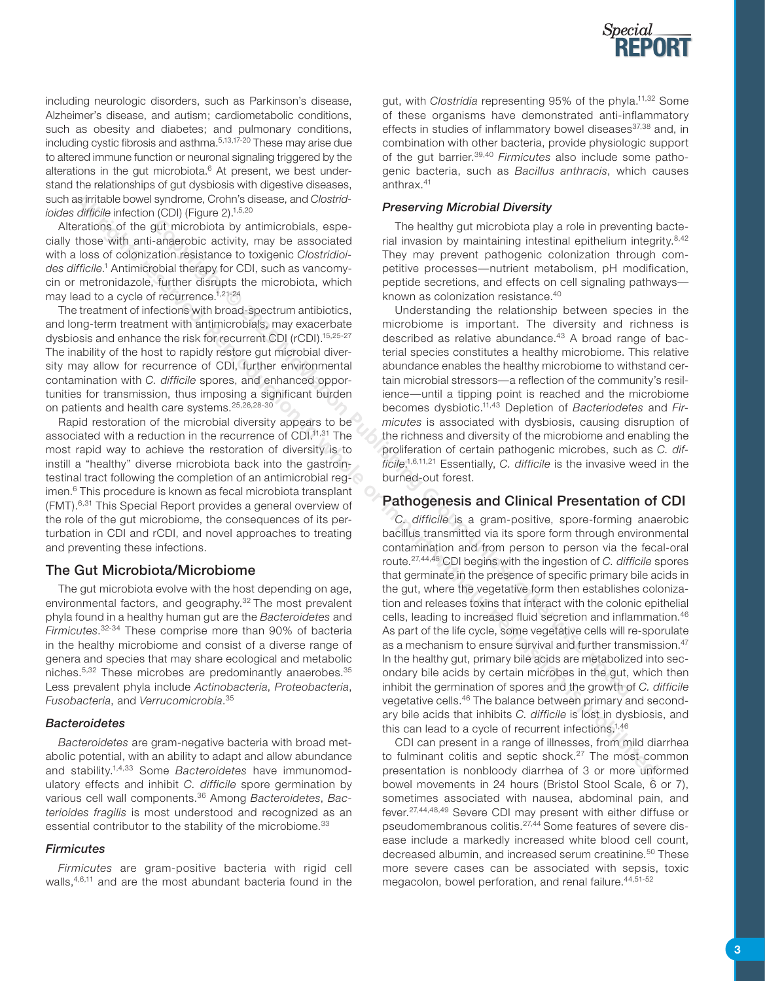

including neurologic disorders, such as Parkinson's disease, Alzheimer's disease, and autism; cardiometabolic conditions, such as obesity and diabetes; and pulmonary conditions, including cystic fibrosis and asthma.5,13,17-20 These may arise due to altered immune function or neuronal signaling triggered by the alterations in the gut microbiota.<sup>6</sup> At present, we best understand the relationships of gut dysbiosis with digestive diseases, such as irritable bowel syndrome, Crohn's disease, and *Clostridioides difficile* infection (CDI) (Figure 2).<sup>1,5,20</sup>

Alterations of the gut microbiota by antimicrobials, especially those with anti-anaerobic activity, may be associated with a loss of colonization resistance to toxigenic *Clostridioides difficile*. <sup>1</sup> Antimicrobial therapy for CDI, such as vancomycin or metronidazole, further disrupts the microbiota, which may lead to a cycle of recurrence.<sup>1,21-24</sup>

The treatment of infections with broad-spectrum antibiotics, and long-term treatment with antimicrobials, may exacerbate dysbiosis and enhance the risk for recurrent CDI (rCDI).15,25-27 The inability of the host to rapidly restore gut microbial diversity may allow for recurrence of CDI, further environmental contamination with *C. difficile* spores, and enhanced opportunities for transmission, thus imposing a significant burden on patients and health care systems.<sup>25,26,28-30</sup>

Rapid restoration of the microbial diversity appears to be associated with a reduction in the recurrence of CDI.<sup>11,31</sup> The most rapid way to achieve the restoration of diversity is to instill a "healthy" diverse microbiota back into the gastrointestinal tract following the completion of an antimicrobial regimen.<sup>6</sup> This procedure is known as fecal microbiota transplant (FMT).6,31 This Special Report provides a general overview of the role of the gut microbiome, the consequences of its perturbation in CDI and rCDI, and novel approaches to treating and preventing these infections.

#### The Gut Microbiota/Microbiome

The gut microbiota evolve with the host depending on age, environmental factors, and geography.<sup>32</sup> The most prevalent phyla found in a healthy human gut are the *Bacteroidetes* and *Firmicutes*. 32-34 These comprise more than 90% of bacteria in the healthy microbiome and consist of a diverse range of genera and species that may share ecological and metabolic niches.<sup>5,32</sup> These microbes are predominantly anaerobes.<sup>35</sup> Less prevalent phyla include *Actinobacteria*, *Proteobacteria*, *Fusobacteria*, and *Verrucomicrobia*. 35

#### *Bacteroidetes*

*Bacteroidetes* are gram-negative bacteria with broad metabolic potential, with an ability to adapt and allow abundance and stability.1,4,33 Some *Bacteroidetes* have immunomodulatory effects and inhibit *C. difficile* spore germination by various cell wall components.36 Among *Bacteroidetes*, *Bacterioides fragilis* is most understood and recognized as an essential contributor to the stability of the microbiome.<sup>33</sup>

#### *Firmicutes*

*Firmicutes* are gram-positive bacteria with rigid cell walls,<sup>4,6,11</sup> and are the most abundant bacteria found in the

gut, with *Clostridia* representing 95% of the phyla.11,32 Some of these organisms have demonstrated anti-inflammatory effects in studies of inflammatory bowel diseases<sup>37,38</sup> and, in combination with other bacteria, provide physiologic support of the gut barrier.39,40 *Firmicutes* also include some pathogenic bacteria, such as *Bacillus anthracis*, which causes anthrax.41

#### *Preserving Microbial Diversity*

The healthy gut microbiota play a role in preventing bacterial invasion by maintaining intestinal epithelium integrity.<sup>8,42</sup> They may prevent pathogenic colonization through competitive processes—nutrient metabolism, pH modification, peptide secretions, and effects on cell signaling pathways known as colonization resistance.40

Understanding the relationship between species in the microbiome is important. The diversity and richness is described as relative abundance.<sup>43</sup> A broad range of bacterial species constitutes a healthy microbiome. This relative abundance enables the healthy microbiome to withstand certain microbial stressors—a reflection of the community's resilience—until a tipping point is reached and the microbiome becomes dysbiotic.11,43 Depletion of *Bacteriodetes* and *Firmicutes* is associated with dysbiosis, causing disruption of the richness and diversity of the microbiome and enabling the proliferation of certain pathogenic microbes, such as *C. difficile*. 1,6,11,21 Essentially, *C. difficile* is the invasive weed in the burned-out forest.

## Pathogenesis and Clinical Presentation of CDI

*C. difficile* is a gram-positive, spore-forming anaerobic bacillus transmitted via its spore form through environmental contamination and from person to person via the fecal-oral route.27,44,45 CDI begins with the ingestion of *C. difficile* spores that germinate in the presence of specific primary bile acids in the gut, where the vegetative form then establishes colonization and releases toxins that interact with the colonic epithelial cells, leading to increased fluid secretion and inflammation.46 As part of the life cycle, some vegetative cells will re-sporulate as a mechanism to ensure survival and further transmission.<sup>47</sup> In the healthy gut, primary bile acids are metabolized into secondary bile acids by certain microbes in the gut, which then inhibit the germination of spores and the growth of *C. difficile*  vegetative cells.46 The balance between primary and secondary bile acids that inhibits *C. difficile* is lost in dysbiosis, and this can lead to a cycle of recurrent infections.<sup>1,46</sup> The healthy partincipality appears of the heatility of inicipality and the prevent of the proposition of particular and the particular and the particular through a reached to the same of the microbiotal threus of the same **Bridge Coverage Controlling (and the controlling respectively)** and in properting and distinguish of the galacteristic properting that the part with properties and controlling the associated the material transmission is t

CDI can present in a range of illnesses, from mild diarrhea to fulminant colitis and septic shock. $27$  The most common presentation is nonbloody diarrhea of 3 or more unformed bowel movements in 24 hours (Bristol Stool Scale, 6 or 7), sometimes associated with nausea, abdominal pain, and fever.27,44,48,49 Severe CDI may present with either diffuse or pseudomembranous colitis.<sup>27,44</sup> Some features of severe disease include a markedly increased white blood cell count, decreased albumin, and increased serum creatinine.<sup>50</sup> These more severe cases can be associated with sepsis, toxic megacolon, bowel perforation, and renal failure.<sup>44,51-52</sup>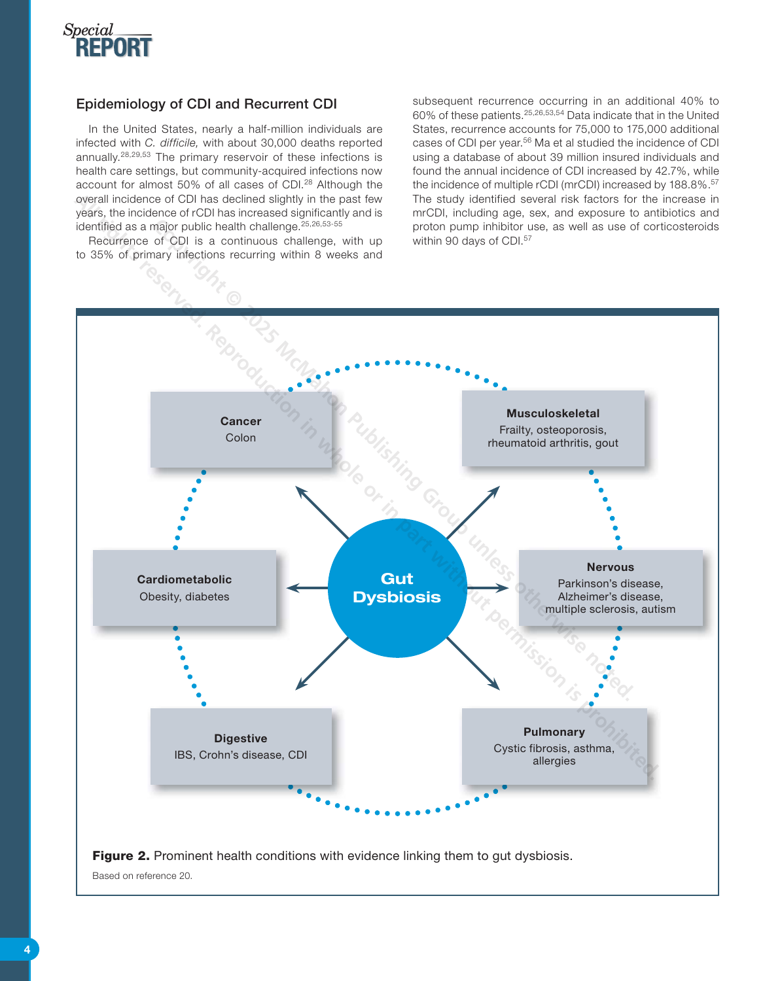

# Epidemiology of CDI and Recurrent CDI

In the United States, nearly a half-million individuals are infected with *C. difficile,* with about 30,000 deaths reported annually.28,29,53 The primary reservoir of these infections is health care settings, but community-acquired infections now account for almost 50% of all cases of CDI.<sup>28</sup> Although the overall incidence of CDI has declined slightly in the past few years, the incidence of rCDI has increased significantly and is identified as a major public health challenge.<sup>25,26,53-55</sup>

Recurrence of CDI is a continuous challenge, with up to 35% of primary infections recurring within 8 weeks and

subsequent recurrence occurring in an additional 40% to 60% of these patients.25,26,53,54 Data indicate that in the United States, recurrence accounts for 75,000 to 175,000 additional cases of CDI per year.<sup>56</sup> Ma et al studied the incidence of CDI using a database of about 39 million insured individuals and found the annual incidence of CDI increased by 42.7%, while the incidence of multiple rCDI (mrCDI) increased by 188.8%.<sup>57</sup> The study identified several risk factors for the increase in mrCDI, including age, sex, and exposure to antibiotics and proton pump inhibitor use, as well as use of corticosteroids within 90 days of CDI.<sup>57</sup>

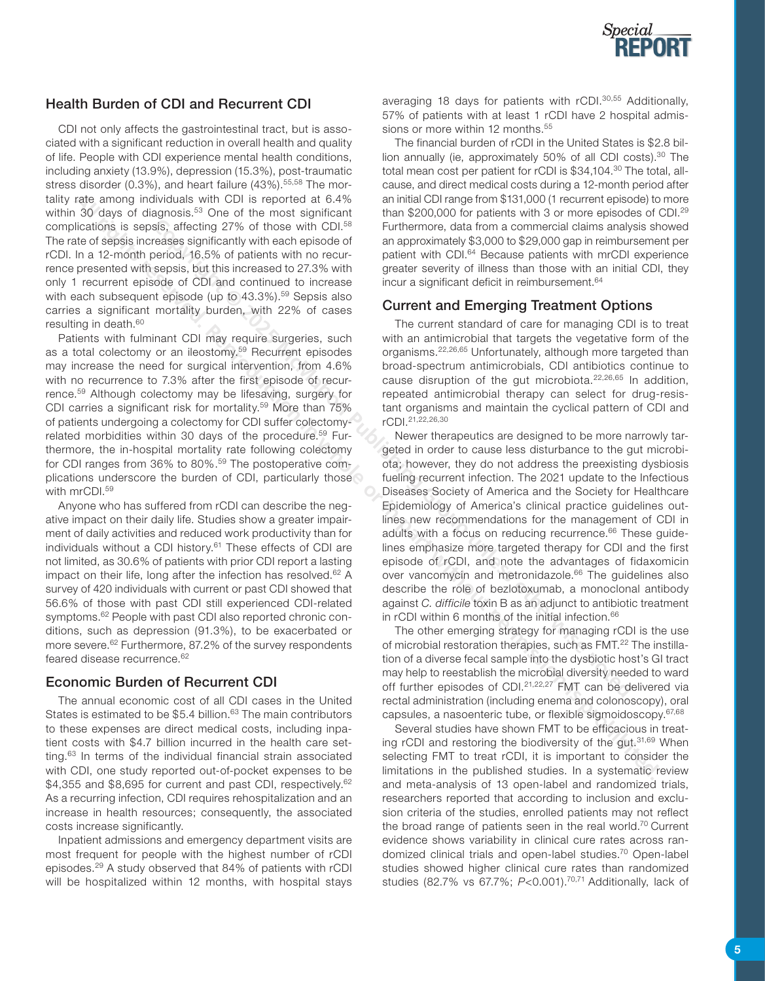

# Health Burden of CDI and Recurrent CDI

CDI not only affects the gastrointestinal tract, but is associated with a significant reduction in overall health and quality of life. People with CDI experience mental health conditions, including anxiety (13.9%), depression (15.3%), post-traumatic stress disorder (0.3%), and heart failure (43%).<sup>55,58</sup> The mortality rate among individuals with CDI is reported at 6.4% within 30 days of diagnosis.<sup>53</sup> One of the most significant complications is sepsis, affecting 27% of those with CDI.<sup>58</sup> The rate of sepsis increases significantly with each episode of rCDI. In a 12-month period, 16.5% of patients with no recurrence presented with sepsis, but this increased to 27.3% with only 1 recurrent episode of CDI and continued to increase with each subsequent episode (up to 43.3%).<sup>59</sup> Sepsis also carries a significant mortality burden, with 22% of cases resulting in death.60

Patients with fulminant CDI may require surgeries, such as a total colectomy or an ileostomy.<sup>59</sup> Recurrent episodes may increase the need for surgical intervention, from 4.6% with no recurrence to 7.3% after the first episode of recurrence.59 Although colectomy may be lifesaving, surgery for CDI carries a significant risk for mortality.59 More than 75% of patients undergoing a colectomy for CDI suffer colectomyrelated morbidities within 30 days of the procedure.<sup>59</sup> Furthermore, the in-hospital mortality rate following colectomy for CDI ranges from 36% to 80%.59 The postoperative complications underscore the burden of CDI, particularly those with mrCDI.59

Anyone who has suffered from rCDI can describe the negative impact on their daily life. Studies show a greater impairment of daily activities and reduced work productivity than for individuals without a CDI history.<sup>61</sup> These effects of CDI are not limited, as 30.6% of patients with prior CDI report a lasting impact on their life, long after the infection has resolved.<sup>62</sup> A survey of 420 individuals with current or past CDI showed that 56.6% of those with past CDI still experienced CDI-related symptoms.<sup>62</sup> People with past CDI also reported chronic conditions, such as depression (91.3%), to be exacerbated or more severe.62 Furthermore, 87.2% of the survey respondents feared disease recurrence.<sup>62</sup>

# Economic Burden of Recurrent CDI

The annual economic cost of all CDI cases in the United States is estimated to be \$5.4 billion.<sup>63</sup> The main contributors to these expenses are direct medical costs, including inpatient costs with \$4.7 billion incurred in the health care setting.63 In terms of the individual financial strain associated with CDI, one study reported out-of-pocket expenses to be \$4,355 and \$8,695 for current and past CDI, respectively.<sup>62</sup> As a recurring infection, CDI requires rehospitalization and an increase in health resources; consequently, the associated costs increase significantly.

Inpatient admissions and emergency department visits are most frequent for people with the highest number of rCDI episodes.29 A study observed that 84% of patients with rCDI will be hospitalized within 12 months, with hospital stays averaging 18 days for patients with rCDI.<sup>30,55</sup> Additionally, 57% of patients with at least 1 rCDI have 2 hospital admissions or more within 12 months.<sup>55</sup>

The financial burden of rCDI in the United States is \$2.8 billion annually (ie, approximately 50% of all CDI costs).<sup>30</sup> The total mean cost per patient for rCDI is \$34,104.<sup>30</sup> The total, allcause, and direct medical costs during a 12-month period after an initial CDI range from \$131,000 (1 recurrent episode) to more than \$200,000 for patients with 3 or more episodes of CDI.<sup>29</sup> Furthermore, data from a commercial claims analysis showed an approximately \$3,000 to \$29,000 gap in reimbursement per patient with CDI.<sup>64</sup> Because patients with mrCDI experience greater severity of illness than those with an initial CDI, they incur a significant deficit in reimbursement.<sup>64</sup>

# Current and Emerging Treatment Options

The current standard of care for managing CDI is to treat with an antimicrobial that targets the vegetative form of the organisms.22,26,65 Unfortunately, although more targeted than broad-spectrum antimicrobials, CDI antibiotics continue to cause disruption of the gut microbiota.22,26,65 In addition, repeated antimicrobial therapy can select for drug-resistant organisms and maintain the cyclical pattern of CDI and rCDI.21,22,26,30

Newer therapeutics are designed to be more narrowly targeted in order to cause less disturbance to the gut microbiota; however, they do not address the preexisting dysbiosis fueling recurrent infection. The 2021 update to the Infectious Diseases Society of America and the Society for Healthcare Epidemiology of America's clinical practice guidelines outlines new recommendations for the management of CDI in adults with a focus on reducing recurrence.<sup>66</sup> These quidelines emphasize more targeted therapy for CDI and the first episode of rCDI, and note the advantages of fidaxomicin over vancomycin and metronidazole.<sup>66</sup> The quidelines also describe the role of bezlotoxumab, a monoclonal antibody against *C. difficile* toxin B as an adjunct to antibiotic treatment in rCDI within 6 months of the initial infection.<sup>66</sup> sis, afteding 27% of those with CDL<sup>38</sup> Environmove, data from a commercial claims analytical<br>seases significantly with sech spisods of<br>an approximately \$3,000 to 529,000 gap in reimbure<br>areiod, 16.5% of patients with no r **All rights reserved. Reproduction in the state of the state or in the state or in the state of the state of the state of the state of the state of the state of the state of the state of the state of the state of the state** 

The other emerging strategy for managing rCDI is the use of microbial restoration therapies, such as FMT.<sup>22</sup> The instillation of a diverse fecal sample into the dysbiotic host's GI tract may help to reestablish the microbial diversity needed to ward off further episodes of CDI. $21,22,27$  FMT can be delivered via rectal administration (including enema and colonoscopy), oral capsules, a nasoenteric tube, or flexible sigmoidoscopy.<sup>67,68</sup>

Several studies have shown FMT to be efficacious in treating rCDI and restoring the biodiversity of the gut.<sup>31,69</sup> When selecting FMT to treat rCDI, it is important to consider the limitations in the published studies. In a systematic review and meta-analysis of 13 open-label and randomized trials, researchers reported that according to inclusion and exclusion criteria of the studies, enrolled patients may not reflect the broad range of patients seen in the real world.<sup>70</sup> Current evidence shows variability in clinical cure rates across randomized clinical trials and open-label studies.70 Open-label studies showed higher clinical cure rates than randomized studies (82.7% vs 67.7%; *P*<0.001).70,71 Additionally, lack of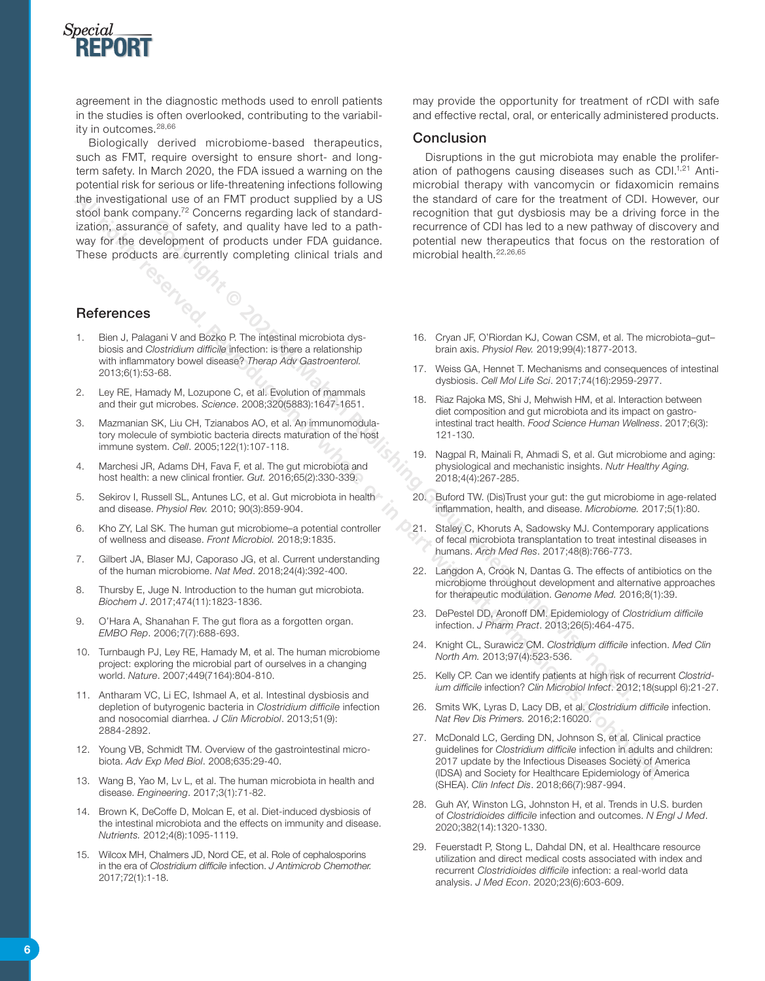

agreement in the diagnostic methods used to enroll patients in the studies is often overlooked, contributing to the variability in outcomes.<sup>28,66</sup>

Biologically derived microbiome-based therapeutics, such as FMT, require oversight to ensure short- and longterm safety. In March 2020, the FDA issued a warning on the potential risk for serious or life-threatening infections following the investigational use of an FMT product supplied by a US stool bank company.<sup>72</sup> Concerns regarding lack of standardization, assurance of safety, and quality have led to a pathway for the development of products under FDA guidance. These products are currently completing clinical trials and **ECO IT AN ALTER COPY THE SECT AN ALTER COPY AND THE SECT AN ACTION CONTINUES IN A CONTINUES COPY AN ALTER CONTINUES IN A CONTINUES CONTINUES AN ALTER CONTINUES CONTINUES AND A CONTINUES CONTINUES CONTINUES AND MANUSCONFIC All rights reserved by rights reserved by a line the standard or in the complete the standard in the standard or in the standard or in the standard or in the standard or in the standard or in the standard with the standar** 

## References

- 1. Bien J, Palagani V and Bozko P. The intestinal microbiota dysbiosis and *Clostridium difficile* infection: is there a relationship with inflammatory bowel disease? *Therap Adv Gastroenterol.* 2013;6(1):53-68.
- Ley RE, Hamady M, Lozupone C, et al. Evolution of mammals and their gut microbes. *Science*. 2008;320(5883):1647-1651.
- 3. Mazmanian SK, Liu CH, Tzianabos AO, et al. An immunomodulatory molecule of symbiotic bacteria directs maturation of the host immune system. *Cell*. 2005;122(1):107-118.
- 4. Marchesi JR, Adams DH, Fava F, et al. The gut microbiota and host health: a new clinical frontier. *Gut.* 2016;65(2):330-339.
- 5. Sekirov I, Russell SL, Antunes LC, et al. Gut microbiota in health and disease. *Physiol Rev.* 2010; 90(3):859-904.
- 6. Kho ZY, Lal SK. The human gut microbiome–a potential controller of wellness and disease. *Front Microbiol.* 2018;9:1835.
- 7. Gilbert JA, Blaser MJ, Caporaso JG, et al. Current understanding of the human microbiome. *Nat Med*. 2018;24(4):392-400.
- 8. Thursby E, Juge N. Introduction to the human gut microbiota. *Biochem J*. 2017;474(11):1823-1836.
- 9. O'Hara A, Shanahan F. The gut flora as a forgotten organ. *EMBO Rep*. 2006;7(7):688-693.
- 10. Turnbaugh PJ, Ley RE, Hamady M, et al. The human microbiome project: exploring the microbial part of ourselves in a changing world. *Nature*. 2007;449(7164):804-810.
- 11. Antharam VC, Li EC, Ishmael A, et al. Intestinal dysbiosis and depletion of butyrogenic bacteria in *Clostridium difficile* infection and nosocomial diarrhea. *J Clin Microbiol*. 2013;51(9): 2884-2892.
- 12. Young VB, Schmidt TM. Overview of the gastrointestinal microbiota. *Adv Exp Med Biol*. 2008;635:29-40.
- 13. Wang B, Yao M, Lv L, et al. The human microbiota in health and disease. *Engineering*. 2017;3(1):71-82.
- 14. Brown K, DeCoffe D, Molcan E, et al. Diet-induced dysbiosis of the intestinal microbiota and the effects on immunity and disease. *Nutrients.* 2012;4(8):1095-1119.
- 15. Wilcox MH, Chalmers JD, Nord CE, et al. Role of cephalosporins in the era of *Clostridium difficile* infection. *J Antimicrob Chemother.*  2017;72(1):1-18.

may provide the opportunity for treatment of rCDI with safe and effective rectal, oral, or enterically administered products.

#### Conclusion

Disruptions in the gut microbiota may enable the proliferation of pathogens causing diseases such as CDI.<sup>1,21</sup> Antimicrobial therapy with vancomycin or fidaxomicin remains the standard of care for the treatment of CDI. However, our recognition that gut dysbiosis may be a driving force in the recurrence of CDI has led to a new pathway of discovery and potential new therapeutics that focus on the restoration of microbial health.22,26,65

- 16. Cryan JF, O'Riordan KJ, Cowan CSM, et al. The microbiota–gut– brain axis. *Physiol Rev.* 2019;99(4):1877-2013.
- 17. Weiss GA, Hennet T. Mechanisms and consequences of intestinal dysbiosis. *Cell Mol Life Sci*. 2017;74(16):2959-2977.
- 18. Riaz Rajoka MS, Shi J, Mehwish HM, et al. Interaction between diet composition and gut microbiota and its impact on gastrointestinal tract health. *Food Science Human Wellness*. 2017;6(3): 121-130.
- 19. Nagpal R, Mainali R, Ahmadi S, et al. Gut microbiome and aging: physiological and mechanistic insights. *Nutr Healthy Aging.*  2018;4(4):267-285.
- 20. Buford TW. (Dis)Trust your gut: the gut microbiome in age-related inflammation, health, and disease. *Microbiome.* 2017;5(1):80.
- 21. Staley C, Khoruts A, Sadowsky MJ. Contemporary applications of fecal microbiota transplantation to treat intestinal diseases in humans. *Arch Med Res*. 2017;48(8):766-773.
- 22. Langdon A, Crook N, Dantas G. The effects of antibiotics on the microbiome throughout development and alternative approaches for therapeutic modulation. *Genome Med.* 2016;8(1):39.
- 23. DePestel DD, Aronoff DM. Epidemiology of *Clostridium difficile*  infection. *J Pharm Pract*. 2013;26(5):464-475.
- 24. Knight CL, Surawicz CM. *Clostridium difficile* infection. *Med Clin North Am.* 2013;97(4):523-536.
- 25. Kelly CP. Can we identify patients at high risk of recurrent *Clostridium difficile* infection? *Clin Microbiol Infect*. 2012;18(suppl 6):21-27.
- 26. Smits WK, Lyras D, Lacy DB, et al. *Clostridium difficile* infection. *Nat Rev Dis Primers.* 2016;2:16020.
- 27. McDonald LC, Gerding DN, Johnson S, et al. Clinical practice guidelines for *Clostridium difficile* infection in adults and children: 2017 update by the Infectious Diseases Society of America (IDSA) and Society for Healthcare Epidemiology of America (SHEA). *Clin Infect Dis*. 2018;66(7):987-994.
- 28. Guh AY, Winston LG, Johnston H, et al. Trends in U.S. burden of *Clostridioides difficile* infection and outcomes. *N Engl J Med*. 2020;382(14):1320-1330.
- 29. Feuerstadt P, Stong L, Dahdal DN, et al. Healthcare resource utilization and direct medical costs associated with index and recurrent *Clostridioides difficile* infection: a real-world data analysis. *J Med Econ*. 2020;23(6):603-609.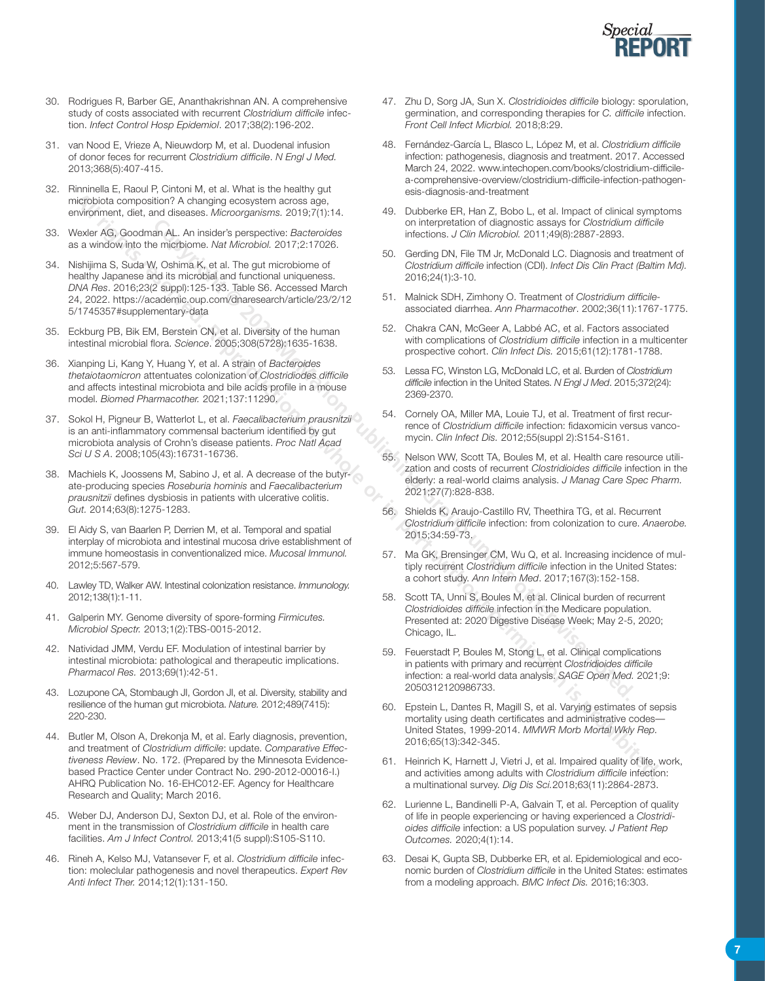

- 30. Rodrigues R, Barber GE, Ananthakrishnan AN. A comprehensive study of costs associated with recurrent *Clostridium difficile* infection. *Infect Control Hosp Epidemiol*. 2017;38(2):196-202.
- 31. van Nood E, Vrieze A, Nieuwdorp M, et al. Duodenal infusion of donor feces for recurrent *Clostridium difficile*. *N Engl J Med.* 2013;368(5):407-415.
- 32. Rinninella E, Raoul P, Cintoni M, et al. What is the healthy gut microbiota composition? A changing ecosystem across age, environment, diet, and diseases. *Microorganisms.* 2019;7(1):14.
- 33. Wexler AG, Goodman AL. An insider's perspective: *Bacteroides*  as a window into the micrbiome. *Nat Microbiol.* 2017;2:17026.
- 34. Nishijima S, Suda W, Oshima K, et al. The gut microbiome of healthy Japanese and its microbial and functional uniqueness. *DNA Res*. 2016;23(2 suppl):125-133. Table S6. Accessed March 24, 2022. https://academic.oup.com/dnaresearch/article/23/2/12 5/1745357#supplementary-data **All rights reserved. Reproduction in the state results reserved. Reproduction in the state results respect to the state of All rights reserved. Reproduction in the state of All rights reserved. The method in the state of**
- 35. Eckburg PB, Bik EM, Berstein CN, et al. Diversity of the human intestinal microbial flora. *Science*. 2005;308(5728):1635-1638.
- 36. Xianping Li, Kang Y, Huang Y, et al. A strain of *Bacteroides thetaiotaomicron* attentuates colonization of *Clostridiodes difficile*  and affects intestinal microbiota and bile acids profile in a mouse model. *Biomed Pharmacother.* 2021;137:11290.
- 37. Sokol H, Pigneur B, Watterlot L, et al. *Faecalibacterium prausnitzii* is an anti-inflammatory commensal bacterium identified by gut microbiota analysis of Crohn's disease patients. *Proc Natl Acad Sci U S A*. 2008;105(43):16731-16736.
- 38. Machiels K, Joossens M, Sabino J, et al. A decrease of the butyrate-producing species *Roseburia hominis* and *Faecalibacterium prausnitzii* defines dysbiosis in patients with ulcerative colitis. *Gut.* 2014;63(8):1275-1283.
- 39. El Aidy S, van Baarlen P, Derrien M, et al. Temporal and spatial interplay of microbiota and intestinal mucosa drive establishment of immune homeostasis in conventionalized mice. *Mucosal Immunol.* 2012;5:567-579.
- 40. Lawley TD, Walker AW. Intestinal colonization resistance. *Immunology.* 2012;138(1):1-11.
- 41. Galperin MY. Genome diversity of spore-forming *Firmicutes. Microbiol Spectr.* 2013;1(2):TBS-0015-2012.
- 42. Natividad JMM, Verdu EF. Modulation of intestinal barrier by intestinal microbiota: pathological and therapeutic implications. *Pharmacol Res.* 2013;69(1):42-51.
- 43. Lozupone CA, Stombaugh JI, Gordon JI, et al. Diversity, stability and resilience of the human gut microbiota. *Nature.* 2012;489(7415): 220-230.
- 44. Butler M, Olson A, Drekonja M, et al. Early diagnosis, prevention, and treatment of *Clostridium difficile*: update. *Comparative Effectiveness Review*. No. 172. (Prepared by the Minnesota Evidencebased Practice Center under Contract No. 290-2012-00016-I.) AHRQ Publication No. 16-EHC012-EF. Agency for Healthcare Research and Quality; March 2016.
- 45. Weber DJ, Anderson DJ, Sexton DJ, et al. Role of the environment in the transmission of *Clostridium difficile* in health care facilities. *Am J Infect Control.* 2013;41(5 suppl):S105-S110.
- 46. Rineh A, Kelso MJ, Vatansever F, et al. *Clostridium difficile* infection: moleclular pathogenesis and novel therapeutics. *Expert Rev Anti Infect Ther.* 2014;12(1):131-150.
- 47. Zhu D, Sorg JA, Sun X. *Clostridioides difficile* biology: sporulation, germination, and corresponding therapies for *C. difficile* infection. *Front Cell Infect Micrbiol.* 2018;8:29.
- 48. Fernández-García L, Blasco L, López M, et al. *Clostridium difficile*  infection: pathogenesis, diagnosis and treatment. 2017. Accessed March 24, 2022. www.intechopen.com/books/clostridium-difficilea-comprehensive-overview/clostridium-difficile-infection-pathogenesis-diagnosis-and-treatment
- 49. Dubberke ER, Han Z, Bobo L, et al. Impact of clinical symptoms on interpretation of diagnostic assays for *Clostridium difficile*  infections. *J Clin Microbiol.* 2011;49(8):2887-2893.
- 50. Gerding DN, File TM Jr, McDonald LC. Diagnosis and treatment of *Clostridium difficile* infection (CDI). *Infect Dis Clin Pract (Baltim Md).*  2016;24(1):3-10.
- 51. Malnick SDH, Zimhony O. Treatment of *Clostridium difficile*associated diarrhea. *Ann Pharmacother*. 2002;36(11):1767-1775.
- 52. Chakra CAN, McGeer A, Labbé AC, et al. Factors associated with complications of *Clostridium difficile* infection in a multicenter prospective cohort. *Clin Infect Dis.* 2015;61(12):1781-1788.
- 53. Lessa FC, Winston LG, McDonald LC, et al. Burden of *Clostridium difficile* infection in the United States. *N Engl J Med*. 2015;372(24): 2369-2370.
- 54. Cornely OA, Miller MA, Louie TJ, et al. Treatment of first recurrence of *Clostridium difficile* infection: fidaxomicin versus vancomycin. *Clin Infect Dis.* 2012;55(suppl 2):S154-S161.
- 55. Nelson WW, Scott TA, Boules M, et al. Health care resource utilization and costs of recurrent *Clostridioides difficile* infection in the elderly: a real-world claims analysis. *J Manag Care Spec Pharm.* 2021;27(7):828-838.
- 56. Shields K, Araujo-Castillo RV, Theethira TG, et al. Recurrent *Clostridium difficile* infection: from colonization to cure. *Anaerobe.*  2015;34:59-73.
- 57. Ma GK, Brensinger CM, Wu Q, et al. Increasing incidence of multiply recurrent *Clostridium difficile* infection in the United States: a cohort study. *Ann Intern Med*. 2017;167(3):152-158.
- 58. Scott TA, Unni S, Boules M, et al. Clinical burden of recurrent *Clostridioides difficile* infection in the Medicare population. Presented at: 2020 Digestive Disease Week; May 2-5, 2020; Chicago, IL. **an AL.** An inside's perspective: Bacteroides in interactions. J Colin McCoonside assays for Clossingian interactions. Complement Continue and the model of Copyright Fig. McCoonside and the model of the model of the model
	- 59. Feuerstadt P, Boules M, Stong L, et al. Clinical complications in patients with primary and recurrent *Clostridioides difficile*  infection: a real-world data analysis. *SAGE Open Med.* 2021;9: 2050312120986733.
	- 60. Epstein L, Dantes R, Magill S, et al. Varying estimates of sepsis mortality using death certificates and administrative codes— United States, 1999-2014. *MMWR Morb Mortal Wkly Rep.*  2016;65(13):342-345.
	- 61. Heinrich K, Harnett J, Vietri J, et al. Impaired quality of life, work, and activities among adults with *Clostridium difficile* infection: a multinational survey. *Dig Dis Sci.*2018;63(11):2864-2873.
	- 62. Lurienne L, Bandinelli P-A, Galvain T, et al. Perception of quality of life in people experiencing or having experienced a *Clostridioides difficile* infection: a US population survey. *J Patient Rep Outcomes.* 2020;4(1):14.
	- 63. Desai K, Gupta SB, Dubberke ER, et al. Epidemiological and economic burden of *Clostridium difficile* in the United States: estimates from a modeling approach. *BMC Infect Dis.* 2016;16:303.